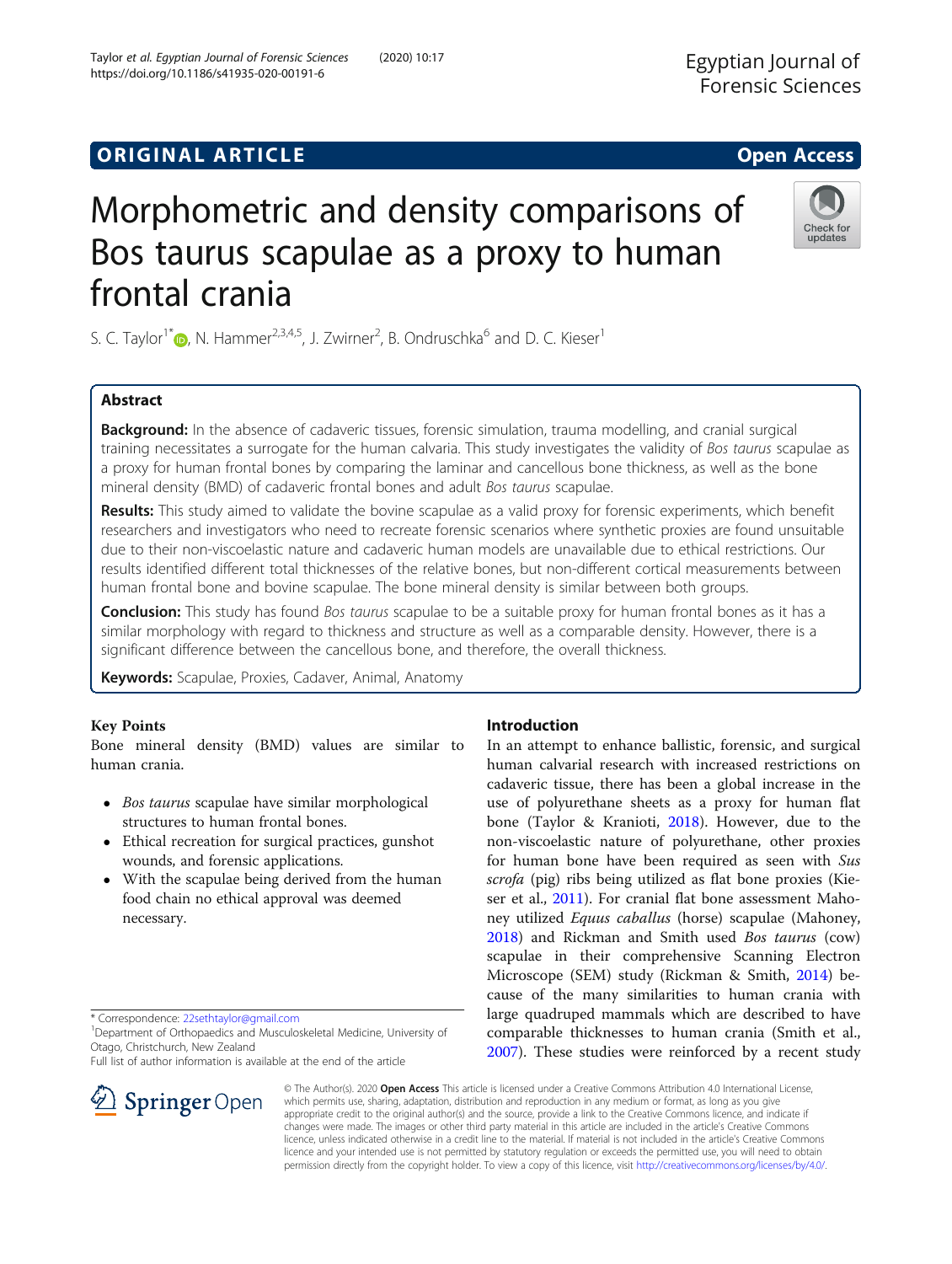# **ORIGINAL ARTICLE CONSERVANCE IN A LOCAL CONSERVANCE IN A LOCAL CONSERVANCE IN A LOCAL CONSERVANCE IN A LOCAL CONS**

# Morphometric and density comparisons of Bos taurus scapulae as a proxy to human frontal crania

S. C. Taylor<sup>1\*</sup>®[,](http://orcid.org/0000-0003-1457-9335) N. Hammer<sup>2,3,4,5</sup>, J. Zwirner<sup>2</sup>, B. Ondruschka<sup>6</sup> and D. C. Kieser<sup>1</sup>

# Abstract

Background: In the absence of cadaveric tissues, forensic simulation, trauma modelling, and cranial surgical training necessitates a surrogate for the human calvaria. This study investigates the validity of Bos taurus scapulae as a proxy for human frontal bones by comparing the laminar and cancellous bone thickness, as well as the bone mineral density (BMD) of cadaveric frontal bones and adult Bos taurus scapulae.

Results: This study aimed to validate the bovine scapulae as a valid proxy for forensic experiments, which benefit researchers and investigators who need to recreate forensic scenarios where synthetic proxies are found unsuitable due to their non-viscoelastic nature and cadaveric human models are unavailable due to ethical restrictions. Our results identified different total thicknesses of the relative bones, but non-different cortical measurements between human frontal bone and bovine scapulae. The bone mineral density is similar between both groups.

Conclusion: This study has found Bos taurus scapulae to be a suitable proxy for human frontal bones as it has a similar morphology with regard to thickness and structure as well as a comparable density. However, there is a significant difference between the cancellous bone, and therefore, the overall thickness.

Keywords: Scapulae, Proxies, Cadaver, Animal, Anatomy

# Key Points

Bone mineral density (BMD) values are similar to human crania.

- Bos taurus scapulae have similar morphological structures to human frontal bones.
- Ethical recreation for surgical practices, gunshot wounds, and forensic applications.
- With the scapulae being derived from the human food chain no ethical approval was deemed necessary.

\* Correspondence: [22sethtaylor@gmail.com](mailto:22sethtaylor@gmail.com) <sup>1</sup>

<sup>1</sup> Department of Orthopaedics and Musculoskeletal Medicine, University of Otago, Christchurch, New Zealand

Full list of author information is available at the end of the article

# Introduction

In an attempt to enhance ballistic, forensic, and surgical human calvarial research with increased restrictions on cadaveric tissue, there has been a global increase in the use of polyurethane sheets as a proxy for human flat bone (Taylor & Kranioti, [2018\)](#page-4-0). However, due to the non-viscoelastic nature of polyurethane, other proxies for human bone have been required as seen with Sus scrofa (pig) ribs being utilized as flat bone proxies (Kieser et al., [2011](#page-4-0)). For cranial flat bone assessment Mahoney utilized Equus caballus (horse) scapulae (Mahoney, [2018](#page-4-0)) and Rickman and Smith used Bos taurus (cow) scapulae in their comprehensive Scanning Electron Microscope (SEM) study (Rickman & Smith, [2014](#page-4-0)) because of the many similarities to human crania with large quadruped mammals which are described to have comparable thicknesses to human crania (Smith et al., [2007](#page-4-0)). These studies were reinforced by a recent study

© The Author(s). 2020 Open Access This article is licensed under a Creative Commons Attribution 4.0 International License, which permits use, sharing, adaptation, distribution and reproduction in any medium or format, as long as you give appropriate credit to the original author(s) and the source, provide a link to the Creative Commons licence, and indicate if changes were made. The images or other third party material in this article are included in the article's Creative Commons licence, unless indicated otherwise in a credit line to the material. If material is not included in the article's Creative Commons licence and your intended use is not permitted by statutory regulation or exceeds the permitted use, you will need to obtain permission directly from the copyright holder. To view a copy of this licence, visit <http://creativecommons.org/licenses/by/4.0/>.



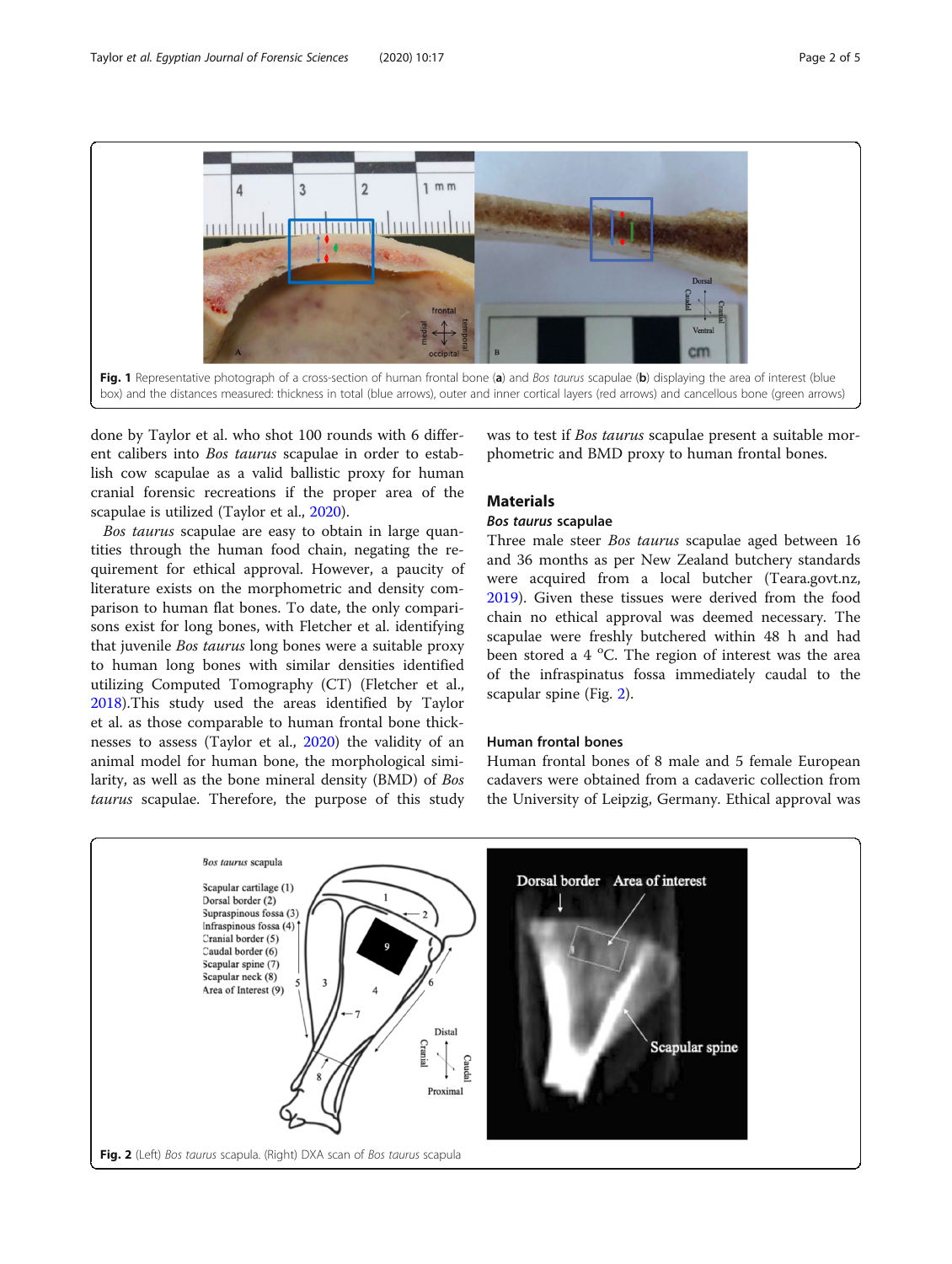

<span id="page-1-0"></span>

done by Taylor et al. who shot 100 rounds with 6 different calibers into Bos taurus scapulae in order to establish cow scapulae as a valid ballistic proxy for human cranial forensic recreations if the proper area of the scapulae is utilized (Taylor et al., [2020\)](#page-4-0).

Bos taurus scapulae are easy to obtain in large quantities through the human food chain, negating the requirement for ethical approval. However, a paucity of literature exists on the morphometric and density comparison to human flat bones. To date, the only comparisons exist for long bones, with Fletcher et al. identifying that juvenile Bos taurus long bones were a suitable proxy to human long bones with similar densities identified utilizing Computed Tomography (CT) (Fletcher et al., [2018](#page-4-0)).This study used the areas identified by Taylor et al. as those comparable to human frontal bone thicknesses to assess (Taylor et al., [2020\)](#page-4-0) the validity of an animal model for human bone, the morphological similarity, as well as the bone mineral density (BMD) of Bos taurus scapulae. Therefore, the purpose of this study

was to test if Bos taurus scapulae present a suitable morphometric and BMD proxy to human frontal bones.

# **Materials**

# Bos taurus scapulae

Three male steer Bos taurus scapulae aged between 16 and 36 months as per New Zealand butchery standards were acquired from a local butcher (Teara.govt.nz, [2019](#page-4-0)). Given these tissues were derived from the food chain no ethical approval was deemed necessary. The scapulae were freshly butchered within 48 h and had been stored a 4 °C. The region of interest was the area of the infraspinatus fossa immediately caudal to the scapular spine (Fig. 2).

# Human frontal bones

Human frontal bones of 8 male and 5 female European cadavers were obtained from a cadaveric collection from the University of Leipzig, Germany. Ethical approval was

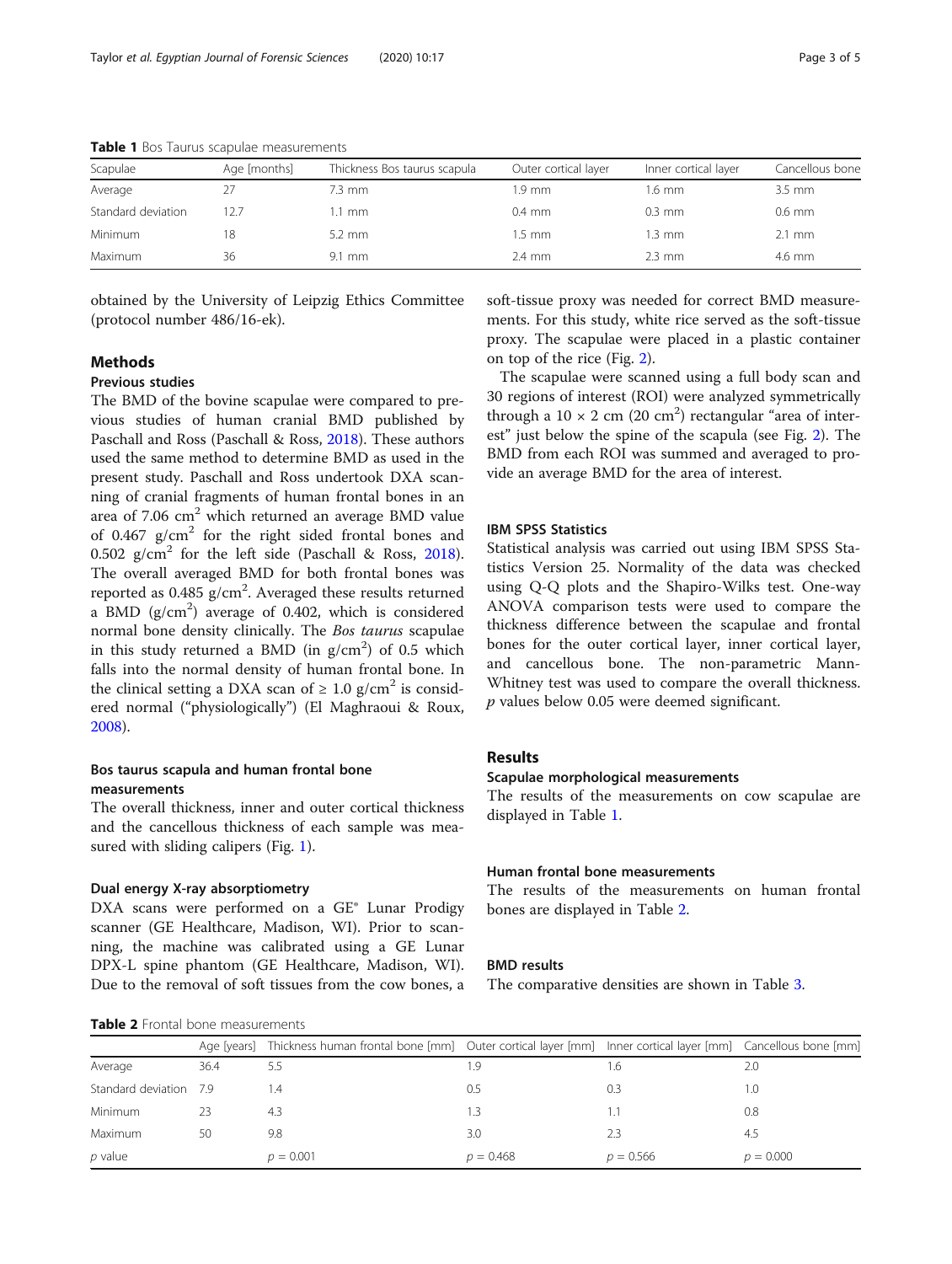| Scapulae           | Age [months] | Thickness Bos taurus scapula | Outer cortical layer | Inner cortical layer | Cancellous bone  |
|--------------------|--------------|------------------------------|----------------------|----------------------|------------------|
| Average            |              | $7.3$ mm                     | 1.9 mm               | 1.6 mm               | $3.5 \text{ mm}$ |
| Standard deviation | 12.7         | $1 \text{ mm}$               | $0.4$ mm             | $0.3$ mm             | $0.6$ mm         |
| Minimum            | 18           | $5.2 \, \text{mm}$           | 1.5 mm               | 1.3 mm               | $2.1 \text{ mm}$ |
| Maximum            | 36           | $9.1 \text{ mm}$             | $2.4 \text{ mm}$     | $2.3 \text{ mm}$     | 4.6 mm           |

Table 1 Bos Taurus scapulae measurements

obtained by the University of Leipzig Ethics Committee (protocol number 486/16-ek).

#### Methods

#### Previous studies

The BMD of the bovine scapulae were compared to previous studies of human cranial BMD published by Paschall and Ross (Paschall & Ross, [2018](#page-4-0)). These authors used the same method to determine BMD as used in the present study. Paschall and Ross undertook DXA scanning of cranial fragments of human frontal bones in an area of  $7.06 \text{ cm}^2$  which returned an average BMD value of 0.467  $g/cm<sup>2</sup>$  for the right sided frontal bones and 0.502  $g/cm<sup>2</sup>$  for the left side (Paschall & Ross, [2018](#page-4-0)). The overall averaged BMD for both frontal bones was reported as  $0.485$  g/cm<sup>2</sup>. Averaged these results returned a BMD  $(g/cm^2)$  average of 0.402, which is considered normal bone density clinically. The Bos taurus scapulae in this study returned a BMD (in  $g/cm<sup>2</sup>$ ) of 0.5 which falls into the normal density of human frontal bone. In the clinical setting a DXA scan of  $\geq 1.0$  g/cm<sup>2</sup> is considered normal ("physiologically") (El Maghraoui & Roux, [2008](#page-4-0)).

# Bos taurus scapula and human frontal bone measurements

The overall thickness, inner and outer cortical thickness and the cancellous thickness of each sample was mea-sured with sliding calipers (Fig. [1](#page-1-0)).

# Dual energy X-ray absorptiometry

Table 2 Frontal bone measurements

DXA scans were performed on a GE® Lunar Prodigy scanner (GE Healthcare, Madison, WI). Prior to scanning, the machine was calibrated using a GE Lunar DPX-L spine phantom (GE Healthcare, Madison, WI). Due to the removal of soft tissues from the cow bones, a soft-tissue proxy was needed for correct BMD measurements. For this study, white rice served as the soft-tissue proxy. The scapulae were placed in a plastic container on top of the rice (Fig. [2\)](#page-1-0).

The scapulae were scanned using a full body scan and 30 regions of interest (ROI) were analyzed symmetrically through a  $10 \times 2$  cm (20 cm<sup>2</sup>) rectangular "area of interest" just below the spine of the scapula (see Fig. [2\)](#page-1-0). The BMD from each ROI was summed and averaged to provide an average BMD for the area of interest.

# IBM SPSS Statistics

Statistical analysis was carried out using IBM SPSS Statistics Version 25. Normality of the data was checked using Q-Q plots and the Shapiro-Wilks test. One-way ANOVA comparison tests were used to compare the thickness difference between the scapulae and frontal bones for the outer cortical layer, inner cortical layer, and cancellous bone. The non-parametric Mann-Whitney test was used to compare the overall thickness. p values below 0.05 were deemed significant.

# Results

#### Scapulae morphological measurements

The results of the measurements on cow scapulae are displayed in Table 1.

# Human frontal bone measurements

The results of the measurements on human frontal bones are displayed in Table 2.

## BMD results

The comparative densities are shown in Table [3.](#page-3-0)

|                        |      | Age [years] Thickness human frontal bone [mm] Outer cortical layer [mm] Inner cortical layer [mm] Cancellous bone [mm] |             |             |             |  |  |  |
|------------------------|------|------------------------------------------------------------------------------------------------------------------------|-------------|-------------|-------------|--|--|--|
| Average                | 36.4 | 5.5                                                                                                                    | 1.9         | . 6         | 2.0         |  |  |  |
| Standard deviation 7.9 |      | $\mathcal{A}$                                                                                                          | 0.5         |             | 1.0         |  |  |  |
| <b>Minimum</b>         |      | 4.3                                                                                                                    | 13          |             | 0.8         |  |  |  |
| Maximum                | 50   | 9.8                                                                                                                    | 3.0         | 2.3         | 4.5         |  |  |  |
| p value                |      | $p = 0.001$                                                                                                            | $p = 0.468$ | $p = 0.566$ | $p = 0.000$ |  |  |  |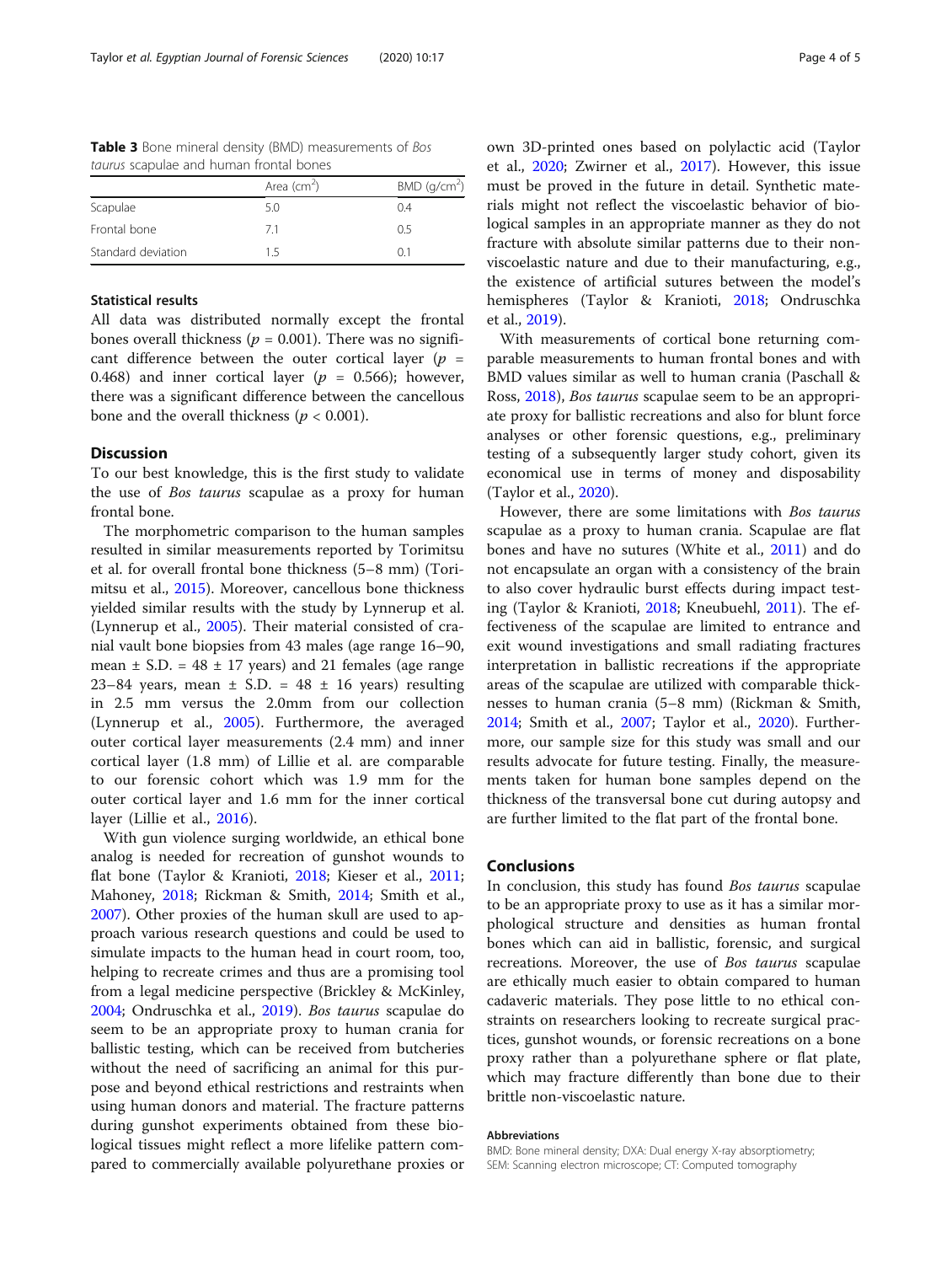<span id="page-3-0"></span>Table 3 Bone mineral density (BMD) measurements of Bos taurus scapulae and human frontal bones

|                    | Area (cm <sup>2</sup> ) | BMD (q/cm <sup>2</sup> ) |
|--------------------|-------------------------|--------------------------|
| Scapulae           | 5.0                     | 0.4                      |
| Frontal bone       | 71                      | 05                       |
| Standard deviation | 15                      | $\Omega$ 1               |

#### Statistical results

All data was distributed normally except the frontal bones overall thickness ( $p = 0.001$ ). There was no significant difference between the outer cortical layer ( $p =$ 0.468) and inner cortical layer ( $p = 0.566$ ); however, there was a significant difference between the cancellous bone and the overall thickness ( $p < 0.001$ ).

# Discussion

To our best knowledge, this is the first study to validate the use of Bos taurus scapulae as a proxy for human frontal bone.

The morphometric comparison to the human samples resulted in similar measurements reported by Torimitsu et al. for overall frontal bone thickness (5–8 mm) (Torimitsu et al., [2015\)](#page-4-0). Moreover, cancellous bone thickness yielded similar results with the study by Lynnerup et al. (Lynnerup et al., [2005\)](#page-4-0). Their material consisted of cranial vault bone biopsies from 43 males (age range 16–90, mean  $\pm$  S.D. = 48  $\pm$  17 years) and 21 females (age range 23–84 years, mean  $\pm$  S.D. = 48  $\pm$  16 years) resulting in 2.5 mm versus the 2.0mm from our collection (Lynnerup et al., [2005\)](#page-4-0). Furthermore, the averaged outer cortical layer measurements (2.4 mm) and inner cortical layer (1.8 mm) of Lillie et al. are comparable to our forensic cohort which was 1.9 mm for the outer cortical layer and 1.6 mm for the inner cortical layer (Lillie et al., [2016\)](#page-4-0).

With gun violence surging worldwide, an ethical bone analog is needed for recreation of gunshot wounds to flat bone (Taylor & Kranioti, [2018](#page-4-0); Kieser et al., [2011](#page-4-0); Mahoney, [2018](#page-4-0); Rickman & Smith, [2014](#page-4-0); Smith et al., [2007](#page-4-0)). Other proxies of the human skull are used to approach various research questions and could be used to simulate impacts to the human head in court room, too, helping to recreate crimes and thus are a promising tool from a legal medicine perspective (Brickley & McKinley, [2004](#page-4-0); Ondruschka et al., [2019\)](#page-4-0). Bos taurus scapulae do seem to be an appropriate proxy to human crania for ballistic testing, which can be received from butcheries without the need of sacrificing an animal for this purpose and beyond ethical restrictions and restraints when using human donors and material. The fracture patterns during gunshot experiments obtained from these biological tissues might reflect a more lifelike pattern compared to commercially available polyurethane proxies or own 3D-printed ones based on polylactic acid (Taylor et al., [2020;](#page-4-0) Zwirner et al., [2017](#page-4-0)). However, this issue must be proved in the future in detail. Synthetic materials might not reflect the viscoelastic behavior of biological samples in an appropriate manner as they do not fracture with absolute similar patterns due to their nonviscoelastic nature and due to their manufacturing, e.g., the existence of artificial sutures between the model's hemispheres (Taylor & Kranioti, [2018;](#page-4-0) Ondruschka et al., [2019](#page-4-0)).

With measurements of cortical bone returning comparable measurements to human frontal bones and with BMD values similar as well to human crania (Paschall & Ross, [2018](#page-4-0)), Bos taurus scapulae seem to be an appropriate proxy for ballistic recreations and also for blunt force analyses or other forensic questions, e.g., preliminary testing of a subsequently larger study cohort, given its economical use in terms of money and disposability (Taylor et al., [2020\)](#page-4-0).

However, there are some limitations with Bos taurus scapulae as a proxy to human crania. Scapulae are flat bones and have no sutures (White et al., [2011\)](#page-4-0) and do not encapsulate an organ with a consistency of the brain to also cover hydraulic burst effects during impact testing (Taylor & Kranioti, [2018;](#page-4-0) Kneubuehl, [2011](#page-4-0)). The effectiveness of the scapulae are limited to entrance and exit wound investigations and small radiating fractures interpretation in ballistic recreations if the appropriate areas of the scapulae are utilized with comparable thicknesses to human crania (5–8 mm) (Rickman & Smith, [2014](#page-4-0); Smith et al., [2007](#page-4-0); Taylor et al., [2020](#page-4-0)). Furthermore, our sample size for this study was small and our results advocate for future testing. Finally, the measurements taken for human bone samples depend on the thickness of the transversal bone cut during autopsy and are further limited to the flat part of the frontal bone.

# Conclusions

In conclusion, this study has found Bos taurus scapulae to be an appropriate proxy to use as it has a similar morphological structure and densities as human frontal bones which can aid in ballistic, forensic, and surgical recreations. Moreover, the use of Bos taurus scapulae are ethically much easier to obtain compared to human cadaveric materials. They pose little to no ethical constraints on researchers looking to recreate surgical practices, gunshot wounds, or forensic recreations on a bone proxy rather than a polyurethane sphere or flat plate, which may fracture differently than bone due to their brittle non-viscoelastic nature.

#### Abbreviations

BMD: Bone mineral density; DXA: Dual energy X-ray absorptiometry; SEM: Scanning electron microscope; CT: Computed tomography